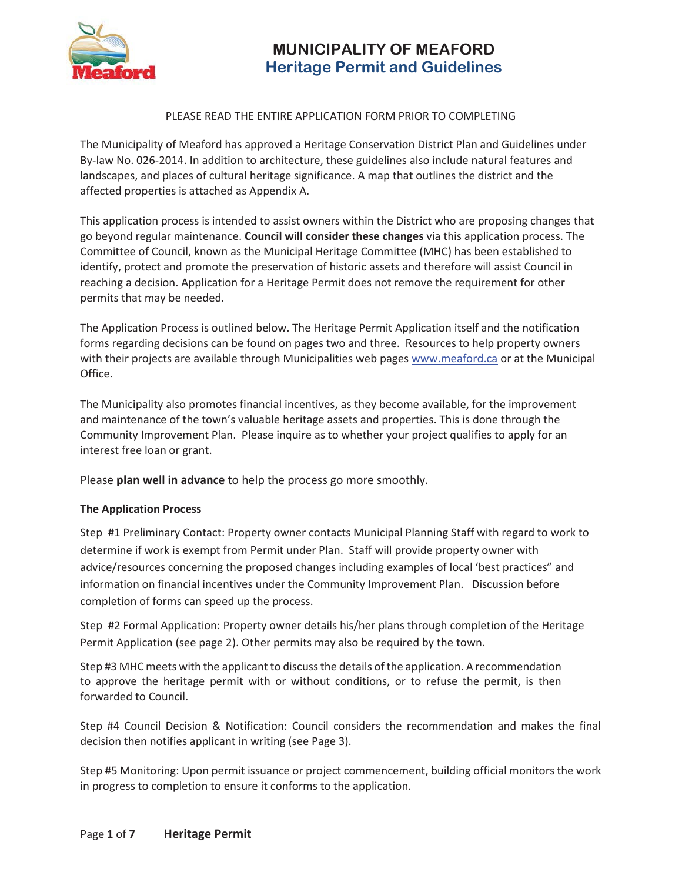

# **MUNICIPALITY OF MEAFORD Heritage Permit and Guidelines**

#### PLEASE READ THE ENTIRE APPLICATION FORM PRIOR TO COMPLETING

The Municipality of Meaford has approved a Heritage Conservation District Plan and Guidelines under By-law No. 026-2014. In addition to architecture, these guidelines also include natural features and landscapes, and places of cultural heritage significance. A map that outlines the district and the affected properties is attached as Appendix A.

This application process is intended to assist owners within the District who are proposing changes that go beyond regular maintenance. **Council will consider these changes** via this application process. The Committee of Council, known as the Municipal Heritage Committee (MHC) has been established to identify, protect and promote the preservation of historic assets and therefore will assist Council in reaching a decision. Application for a Heritage Permit does not remove the requirement for other permits that may be needed.

The Application Process is outlined below. The Heritage Permit Application itself and the notification forms regarding decisions can be found on pages two and three. Resources to help property owners with their projects are available through Municipalities web pages www.meaford.ca or at the Municipal Office.

The Municipality also promotes financial incentives, as they become available, for the improvement and maintenance of the town's valuable heritage assets and properties. This is done through the Community Improvement Plan. Please inquire as to whether your project qualifies to apply for an interest free loan or grant.

Please **plan well in advance** to help the process go more smoothly.

#### **The Application Process**

Step #1 Preliminary Contact: Property owner contacts Municipal Planning Staff with regard to work to determine if work is exempt from Permit under Plan. Staff will provide property owner with advice/resources concerning the proposed changes including examples of local 'best practices" and information on financial incentives under the Community Improvement Plan. Discussion before completion of forms can speed up the process.

Step #2 Formal Application: Property owner details his/her plans through completion of the Heritage Permit Application (see page 2). Other permits may also be required by the town.

Step #3 MHC meets with the applicant to discuss the details of the application. A recommendation to approve the heritage permit with or without conditions, or to refuse the permit, is then forwarded to Council.

Step #4 Council Decision & Notification: Council considers the recommendation and makes the final decision then notifies applicant in writing (see Page 3).

Step #5 Monitoring: Upon permit issuance or project commencement, building official monitors the work in progress to completion to ensure it conforms to the application.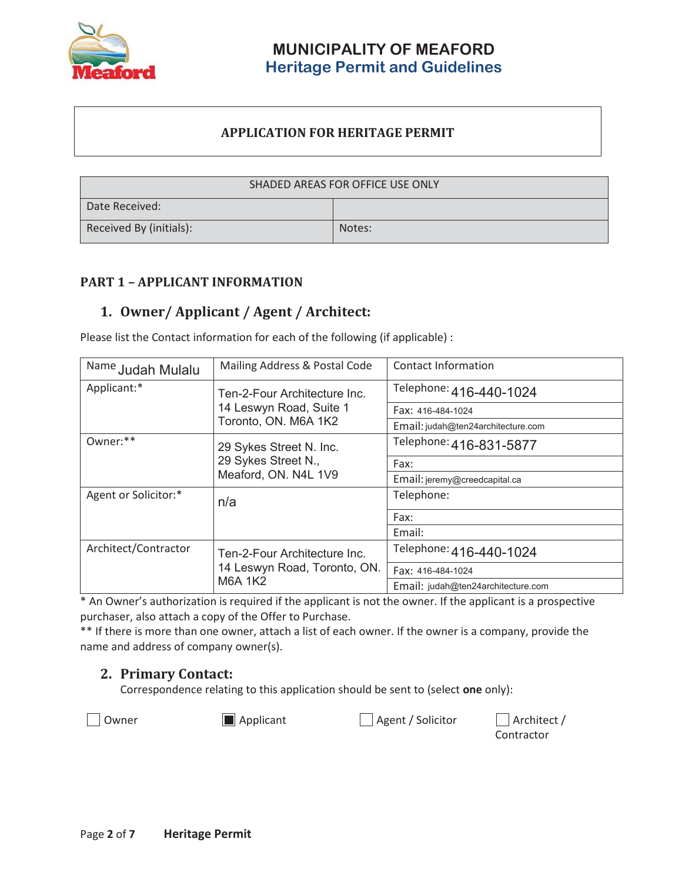

### **MUNICIPALITY OF MEAFORD Heritage Permit and Guidelines**

#### **APPLICATION FOR HERITAGE PERMIT**

| SHADED AREAS FOR OFFICE USE ONLY |        |  |  |
|----------------------------------|--------|--|--|
| Date Received:                   |        |  |  |
| Received By (initials):          | Notes: |  |  |

#### **PART 1 – APPLICANT INFORMATION**

### **1. Owner/ Applicant / Agent / Architect:**

Please list the Contact information for each of the following (if applicable) :

| Name Judah Mulalu           | Mailing Address & Postal Code                                | <b>Contact Information</b>         |  |  |
|-----------------------------|--------------------------------------------------------------|------------------------------------|--|--|
| Applicant:*                 | Ten-2-Four Architecture Inc.<br>14 Leswyn Road, Suite 1      | Telephone: 416-440-1024            |  |  |
|                             |                                                              | Fax: 416-484-1024                  |  |  |
|                             | Toronto, ON. M6A 1K2                                         | Email: judah@ten24architecture.com |  |  |
| Owner:**                    | 29 Sykes Street N. Inc.                                      | Telephone: 416-831-5877            |  |  |
|                             | 29 Sykes Street N.,                                          | Fax:                               |  |  |
|                             | Meaford, ON. N4L 1V9                                         | Email: jeremy@creedcapital.ca      |  |  |
| Agent or Solicitor:*<br>n/a |                                                              | Telephone:                         |  |  |
|                             |                                                              | Fax:                               |  |  |
|                             |                                                              | Email:                             |  |  |
| Architect/Contractor        | Ten-2-Four Architecture Inc.<br>14 Leswyn Road, Toronto, ON. | Telephone: 416-440-1024            |  |  |
|                             |                                                              | Fax: 416-484-1024                  |  |  |
|                             | <b>M6A 1K2</b>                                               | Email: judah@ten24architecture.com |  |  |

\* An Owner's authorization is required if the applicant is not the owner. If the applicant is a prospective purchaser, also attach a copy of the Offer to Purchase.

\*\* If there is more than one owner, attach a list of each owner. If the owner is a company, provide the name and address of company owner(s).

#### **2. Primary Contact:**

Correspondence relating to this application should be sent to (select **one** only):

Owner **Applicant** Applicant Agent / Solicitor Architect /

Contractor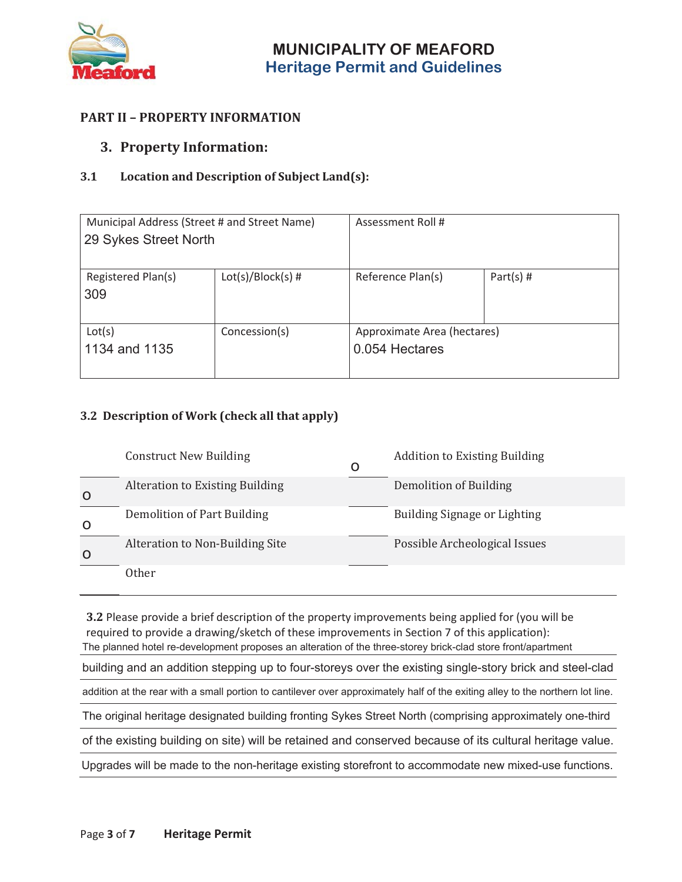

### **PART II – PROPERTY INFORMATION**

#### **3. Property Information:**

#### **3.1 Location and Description of Subject Land(s):**

| Municipal Address (Street # and Street Name)<br>29 Sykes Street North |                     | Assessment Roll #                             |             |  |
|-----------------------------------------------------------------------|---------------------|-----------------------------------------------|-------------|--|
| Registered Plan(s)<br>309                                             | $Lot(s)/Block(s)$ # | Reference Plan(s)                             | Part(s) $#$ |  |
| Lot(s)<br>1134 and 1135                                               | Concession(s)       | Approximate Area (hectares)<br>0.054 Hectares |             |  |

#### **3.2 Description of Work (check all that apply)**

|              | <b>Construct New Building</b>          | O | <b>Addition to Existing Building</b> |
|--------------|----------------------------------------|---|--------------------------------------|
| O            | <b>Alteration to Existing Building</b> |   | Demolition of Building               |
| $\mathsf{O}$ | Demolition of Part Building            |   | Building Signage or Lighting         |
| O            | Alteration to Non-Building Site        |   | Possible Archeological Issues        |
|              | Other                                  |   |                                      |

**3.2** Please provide a brief description of the property improvements being applied for (you will be required to provide a drawing/sketch of these improvements in Section 7 of this application): The planned hotel re-development proposes an alteration of the three-storey brick-clad store front/apartment building and an addition stepping up to four-storeys over the existing single-story brick and steel-clad addition at the rear with a small portion to cantilever over approximately half of the exiting alley to the northern lot line. The original heritage designated building fronting Sykes Street North (comprising approximately one-third of the existing building on site) will be retained and conserved because of its cultural heritage value. Upgrades will be made to the non-heritage existing storefront to accommodate new mixed-use functions.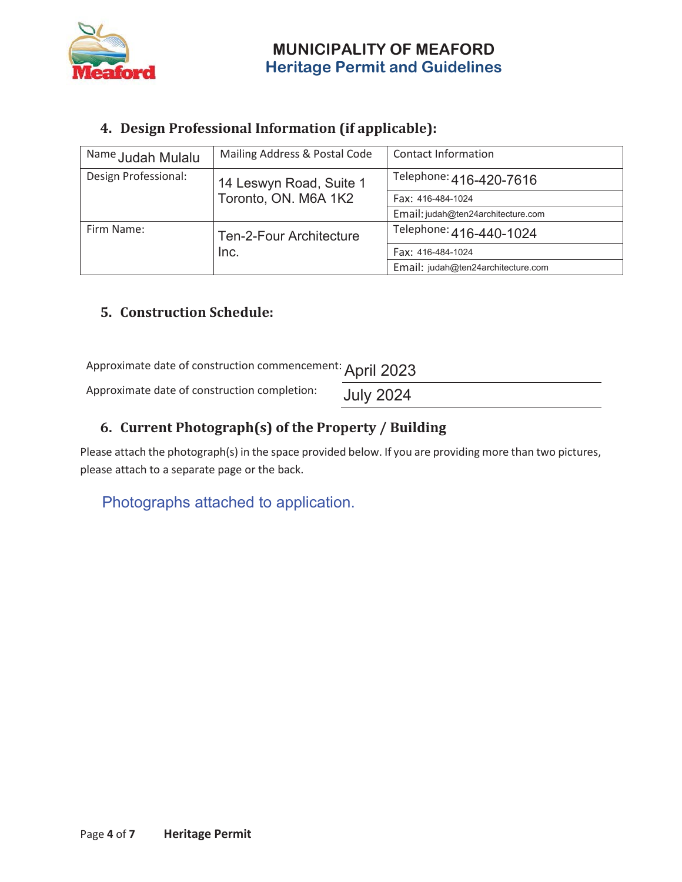

## **MUNICIPALITY OF MEAFORD Heritage Permit and Guidelines**

### **4. Design Professional Information (if applicable):**

| Name Judah Mulalu    | Mailing Address & Postal Code  | <b>Contact Information</b>         |  |
|----------------------|--------------------------------|------------------------------------|--|
| Design Professional: | 14 Leswyn Road, Suite 1        | Telephone: 416-420-7616            |  |
|                      | Toronto, ON. M6A 1K2           | Fax: 416-484-1024                  |  |
|                      |                                | Email: judah@ten24architecture.com |  |
| Firm Name:           | <b>Ten-2-Four Architecture</b> | Telephone: 416-440-1024            |  |
|                      | Inc.                           | Fax: 416-484-1024                  |  |
|                      |                                | Email: judah@ten24architecture.com |  |

### **5. Construction Schedule:**

Approximate date of construction commencement: April 2023

Approximate date of construction completion:

July 2024

### **6. Current Photograph(s) of the Property / Building**

Please attach the photograph(s) in the space provided below. If you are providing more than two pictures, please attach to a separate page or the back.

### Photographs attached to application.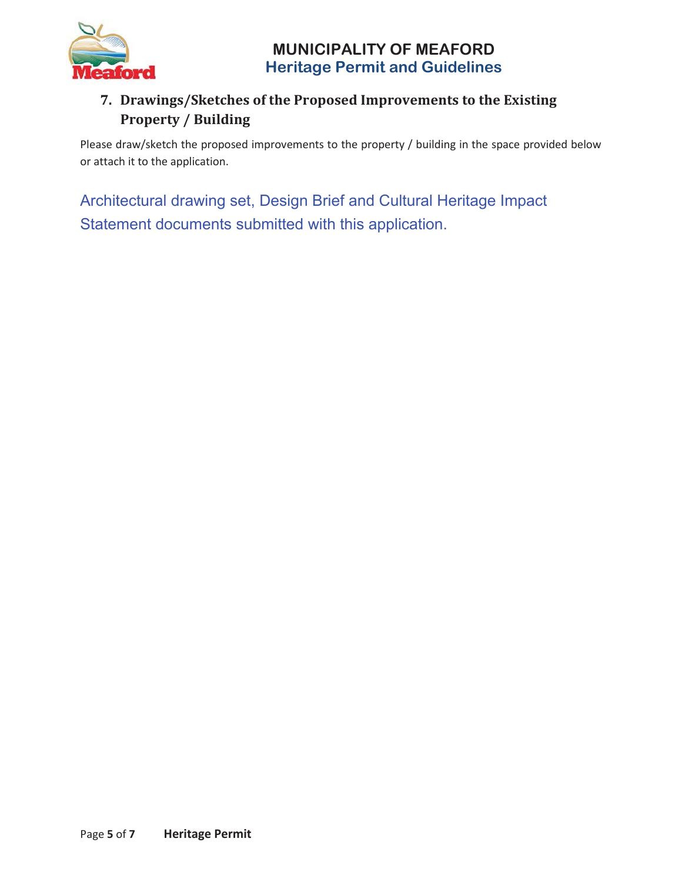



### **7. Drawings/Sketches of the Proposed Improvements to the Existing Property / Building**

Please draw/sketch the proposed improvements to the property / building in the space provided below or attach it to the application.

 Architectural drawing set, Design Brief and Cultural Heritage Impact Statement documents submitted with this application.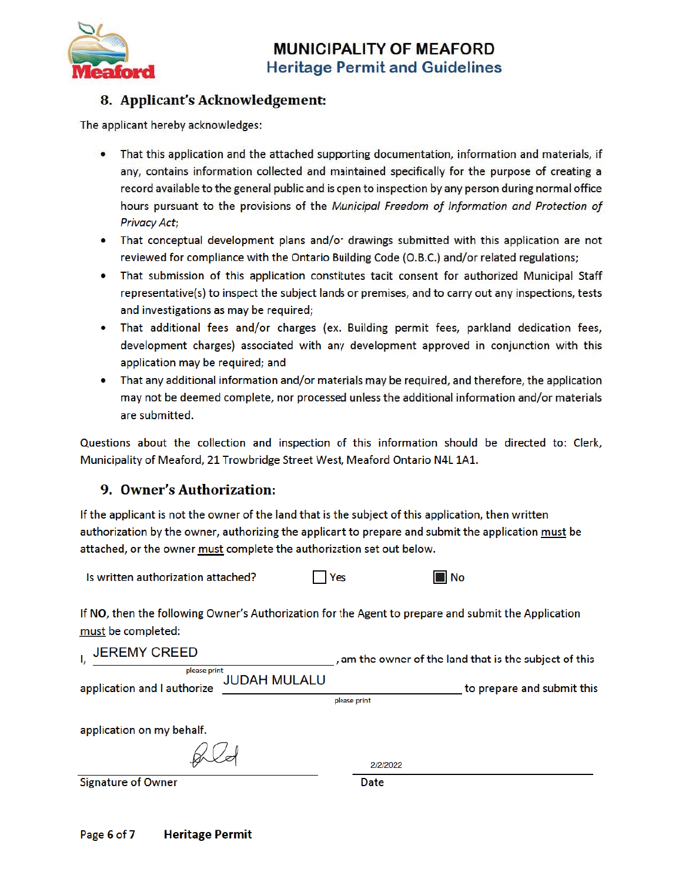

### 8. Applicant's Acknowledgement:

The applicant hereby acknowledges:

- That this application and the attached supporting documentation, information and materials, if any, contains information collected and maintained specifically for the purpose of creating a record available to the general public and is open to inspection by any person during normal office hours pursuant to the provisions of the Municipal Freedom of Information and Protection of **Privacy Act;**
- That conceptual development plans and/or drawings submitted with this application are not reviewed for compliance with the Ontario Building Code (O.B.C.) and/or related regulations;
- That submission of this application constitutes tacit consent for authorized Municipal Staff representative(s) to inspect the subject lands or premises, and to carry out any inspections, tests and investigations as may be required;
- That additional fees and/or charges (ex. Building permit fees, parkland dedication fees, development charges) associated with any development approved in conjunction with this application may be required; and
- That any additional information and/or materials may be required, and therefore, the application may not be deemed complete, nor processed unless the additional information and/or materials are submitted.

Questions about the collection and inspection of this information should be directed to: Clerk, Municipality of Meaford, 21 Trowbridge Street West, Meaford Ontario N4L 1A1.

### 9. Owner's Authorization:

If the applicant is not the owner of the land that is the subject of this application, then written authorization by the owner, authorizing the applicant to prepare and submit the application must be attached, or the owner must complete the authorization set out below.

| Is written authorization attached? | Yes | $\blacksquare$ No |
|------------------------------------|-----|-------------------|
|------------------------------------|-----|-------------------|

If NO, then the following Owner's Authorization for the Agent to prepare and submit the Application must be completed:

| <b>JEREMY CREED</b>                                                | , am the owner of the land that is the subject of this |
|--------------------------------------------------------------------|--------------------------------------------------------|
| please print<br><b>JUDAH MULALU</b><br>application and I authorize | to prepare and submit this                             |
|                                                                    | please print                                           |
| application on my behalf.                                          |                                                        |
|                                                                    | 2/2/2022                                               |
| <b>Signature of Owner</b>                                          | Date                                                   |